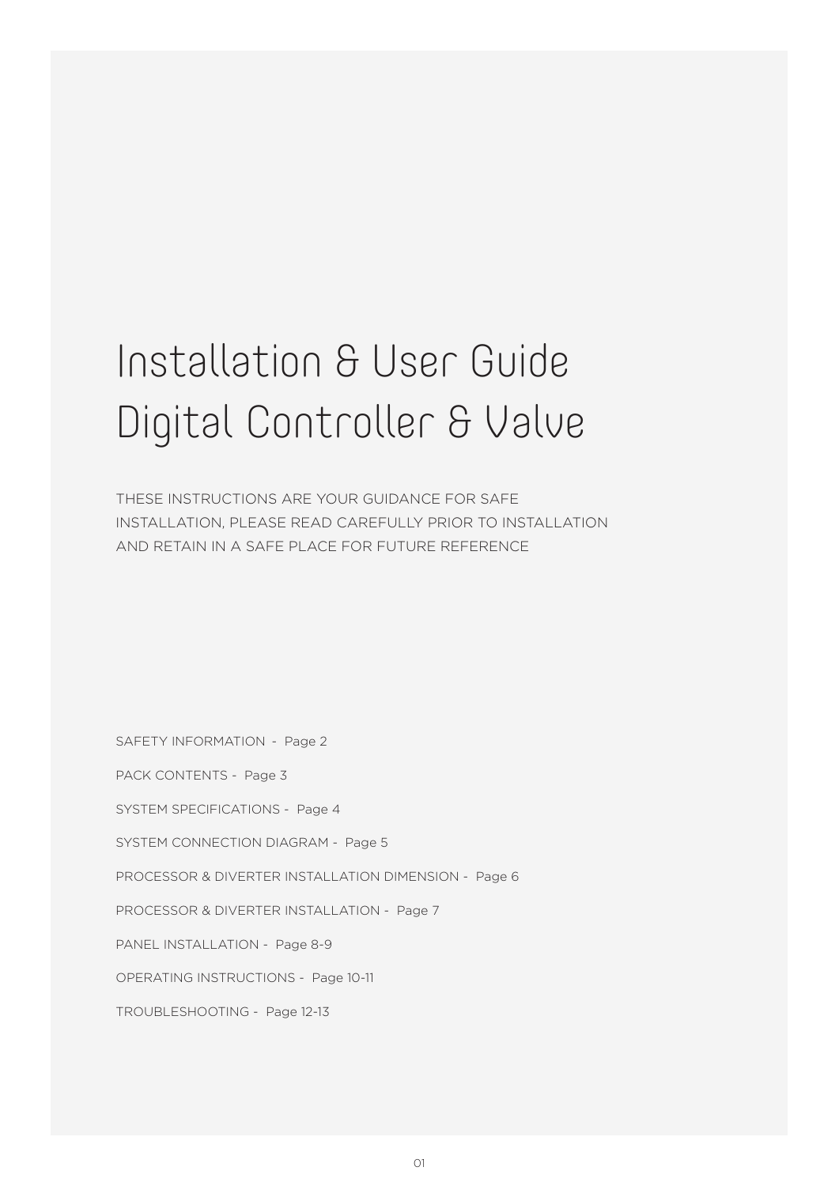## Installation & User Guide Digital Controller & Valve

THESE INSTRUCTIONS ARE YOUR GUIDANCE FOR SAFE INSTALLATION, PLEASE READ CAREFULLY PRIOR TO INSTALLATION AND RETAIN IN A SAFE PLACE FOR FUTURE REFERENCE

SAFETY INFORMATION - Page 2

PACK CONTENTS - Page 3

SYSTEM SPECIFICATIONS - Page 4

SYSTEM CONNECTION DIAGRAM - Page 5

PROCESSOR & DIVERTER INSTALLATION DIMENSION - Page 6

PROCESSOR & DIVERTER INSTALLATION - Page 7

PANEL INSTALLATION - Page 8-9

OPERATING INSTRUCTIONS - Page 10-11

TROUBLESHOOTING - Page 12-13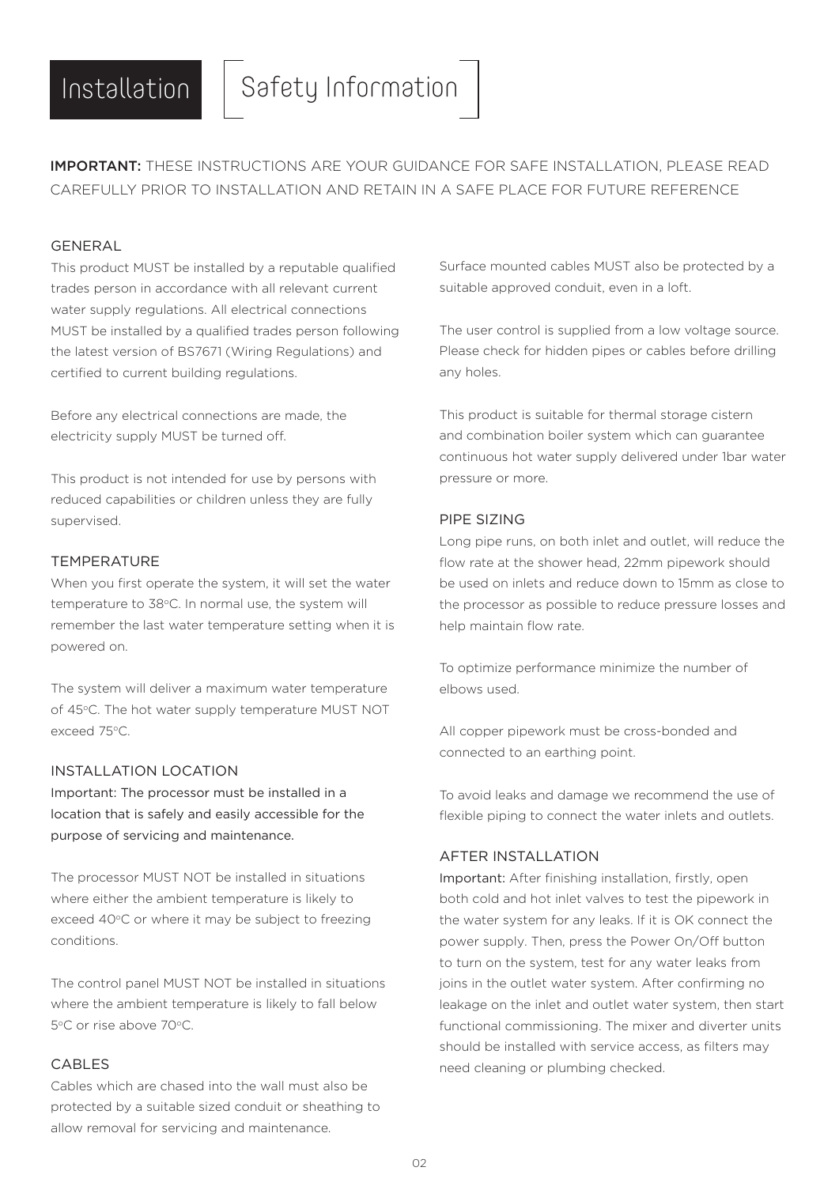IMPORTANT: THESE INSTRUCTIONS ARE YOUR GUIDANCE FOR SAFE INSTALLATION, PLEASE READ CAREFULLY PRIOR TO INSTALLATION AND RETAIN IN A SAFE PLACE FOR FUTURE REFERENCE

### GENERAL

This product MUST be installed by a reputable qualified trades person in accordance with all relevant current water supply regulations. All electrical connections MUST be installed by a qualified trades person following the latest version of BS7671 (Wiring Regulations) and certified to current building regulations.

Before any electrical connections are made, the electricity supply MUST be turned off.

This product is not intended for use by persons with reduced capabilities or children unless they are fully supervised.

#### TEMPERATURE

When you first operate the system, it will set the water temperature to 38°C. In normal use, the system will remember the last water temperature setting when it is powered on.

The system will deliver a maximum water temperature of 45°C. The hot water supply temperature MUST NOT exceed 75°C.

#### INSTALLATION LOCATION

Important: The processor must be installed in a location that is safely and easily accessible for the purpose of servicing and maintenance.

The processor MUST NOT be installed in situations where either the ambient temperature is likely to exceed 40°C or where it may be subject to freezing conditions.

The control panel MUST NOT be installed in situations where the ambient temperature is likely to fall below 5°C or rise above 70°C.

### CABLES

Cables which are chased into the wall must also be protected by a suitable sized conduit or sheathing to allow removal for servicing and maintenance.

Surface mounted cables MUST also be protected by a suitable approved conduit, even in a loft.

The user control is supplied from a low voltage source. Please check for hidden pipes or cables before drilling any holes.

This product is suitable for thermal storage cistern and combination boiler system which can guarantee continuous hot water supply delivered under 1bar water pressure or more.

### PIPE SIZING

Long pipe runs, on both inlet and outlet, will reduce the flow rate at the shower head, 22mm pipework should be used on inlets and reduce down to 15mm as close to the processor as possible to reduce pressure losses and help maintain flow rate.

To optimize performance minimize the number of elbows used.

All copper pipework must be cross-bonded and connected to an earthing point.

To avoid leaks and damage we recommend the use of flexible piping to connect the water inlets and outlets.

#### AFTER INSTALLATION

Important: After finishing installation, firstly, open both cold and hot inlet valves to test the pipework in the water system for any leaks. If it is OK connect the power supply. Then, press the Power On/Off button to turn on the system, test for any water leaks from joins in the outlet water system. After confirming no leakage on the inlet and outlet water system, then start functional commissioning. The mixer and diverter units should be installed with service access, as filters may need cleaning or plumbing checked.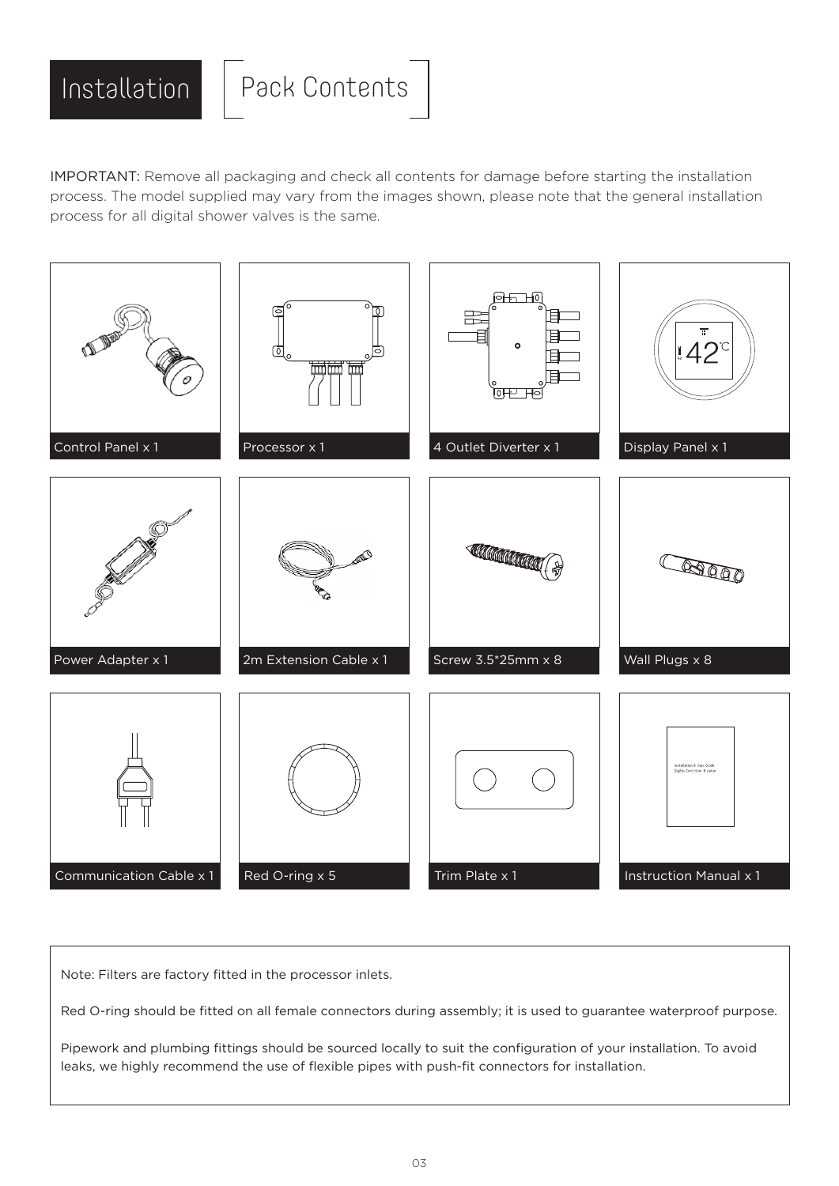

IMPORTANT: Remove all packaging and check all contents for damage before starting the installation process. The model supplied may vary from the images shown, please note that the general installation process for all digital shower valves is the same.



Note: Filters are factory fitted in the processor inlets.

Red O-ring should be fitted on all female connectors during assembly; it is used to guarantee waterproof purpose.

Pipework and plumbing fittings should be sourced locally to suit the configuration of your installation. To avoid leaks, we highly recommend the use of flexible pipes with push-fit connectors for installation.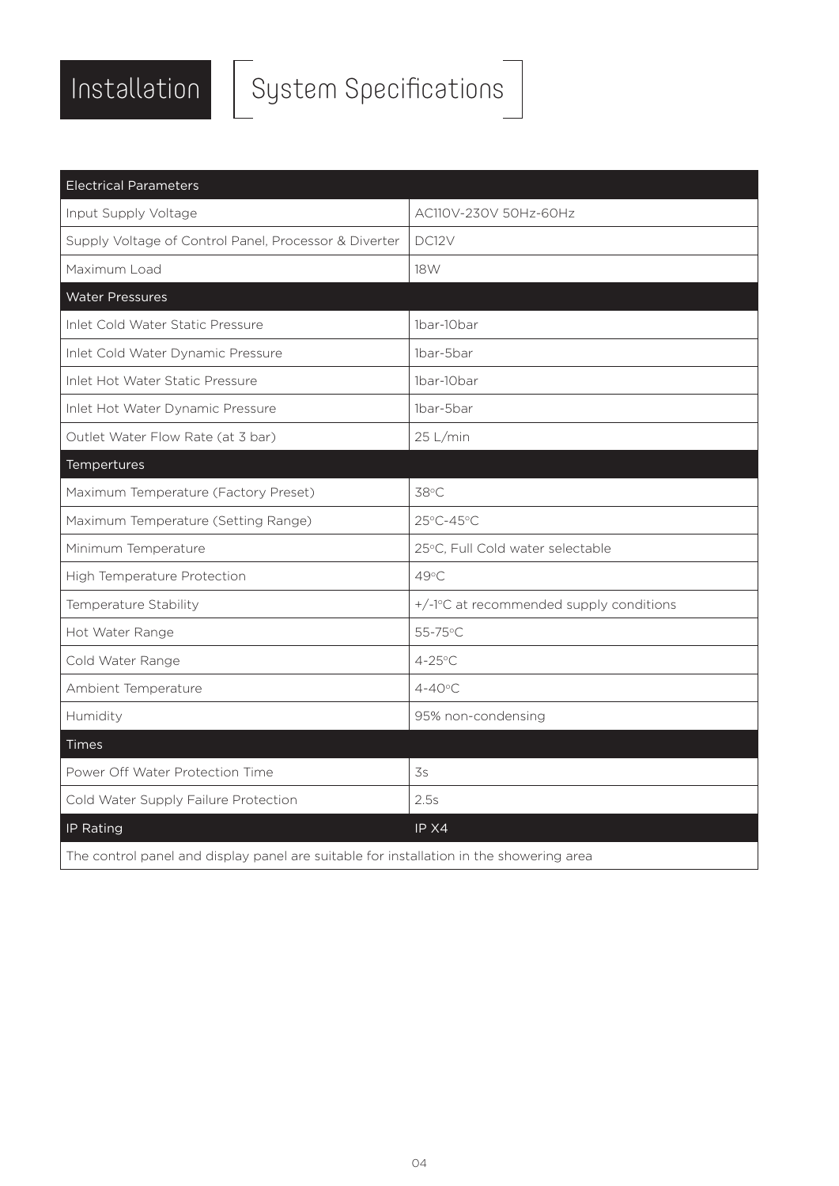

# $\begin{array}{|c|c|} \hline \text{Instantation} & \text{System Specifications} \hline \end{array}$

| <b>Electrical Parameters</b>                                                            |                                         |  |
|-----------------------------------------------------------------------------------------|-----------------------------------------|--|
| Input Supply Voltage                                                                    | AC110V-230V 50Hz-60Hz                   |  |
| Supply Voltage of Control Panel, Processor & Diverter                                   | DC12V                                   |  |
| Maximum Load                                                                            | 18W                                     |  |
| <b>Water Pressures</b>                                                                  |                                         |  |
| Inlet Cold Water Static Pressure                                                        | 1bar-10bar                              |  |
| Inlet Cold Water Dynamic Pressure                                                       | 1bar-5bar                               |  |
| Inlet Hot Water Static Pressure                                                         | 1bar-10bar                              |  |
| Inlet Hot Water Dynamic Pressure                                                        | 1bar-5bar                               |  |
| Outlet Water Flow Rate (at 3 bar)                                                       | 25 L/min                                |  |
| Tempertures                                                                             |                                         |  |
| Maximum Temperature (Factory Preset)                                                    | 38°C                                    |  |
| Maximum Temperature (Setting Range)                                                     | 25°C-45°C                               |  |
| Minimum Temperature                                                                     | 25°C, Full Cold water selectable        |  |
| High Temperature Protection                                                             | 49°C                                    |  |
| Temperature Stability                                                                   | +/-1°C at recommended supply conditions |  |
| Hot Water Range                                                                         | 55-75°C                                 |  |
| Cold Water Range                                                                        | $4 - 25$ °C                             |  |
| Ambient Temperature                                                                     | $4 - 40^{\circ}$ C                      |  |
| Humidity                                                                                | 95% non-condensing                      |  |
| Times                                                                                   |                                         |  |
| Power Off Water Protection Time                                                         | 3s                                      |  |
| Cold Water Supply Failure Protection                                                    | 2.5s                                    |  |
| IP Rating                                                                               | IP X4                                   |  |
| The control panel and display panel are suitable for installation in the showering area |                                         |  |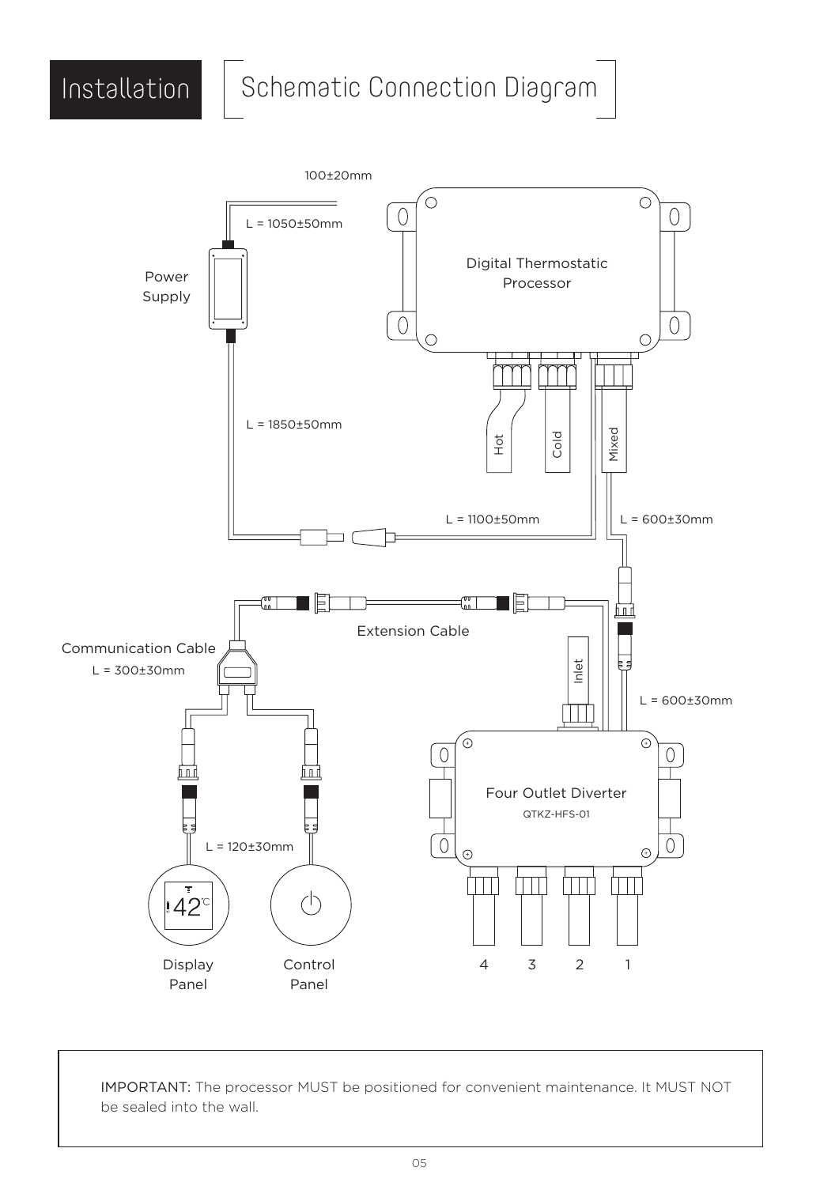## Installation | Schematic Connection Diagram



IMPORTANT: The processor MUST be positioned for convenient maintenance. It MUST NOT be sealed into the wall.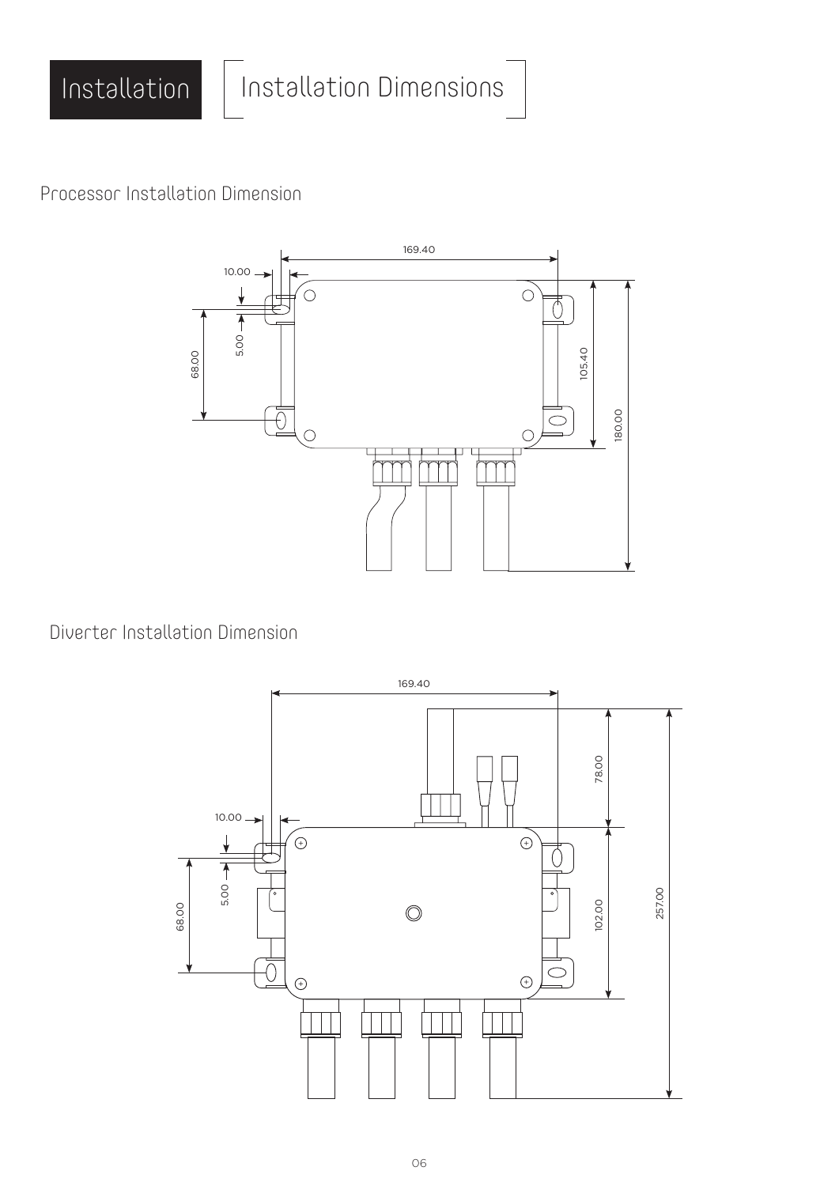

Processor Installation Dimension



Diverter Installation Dimension

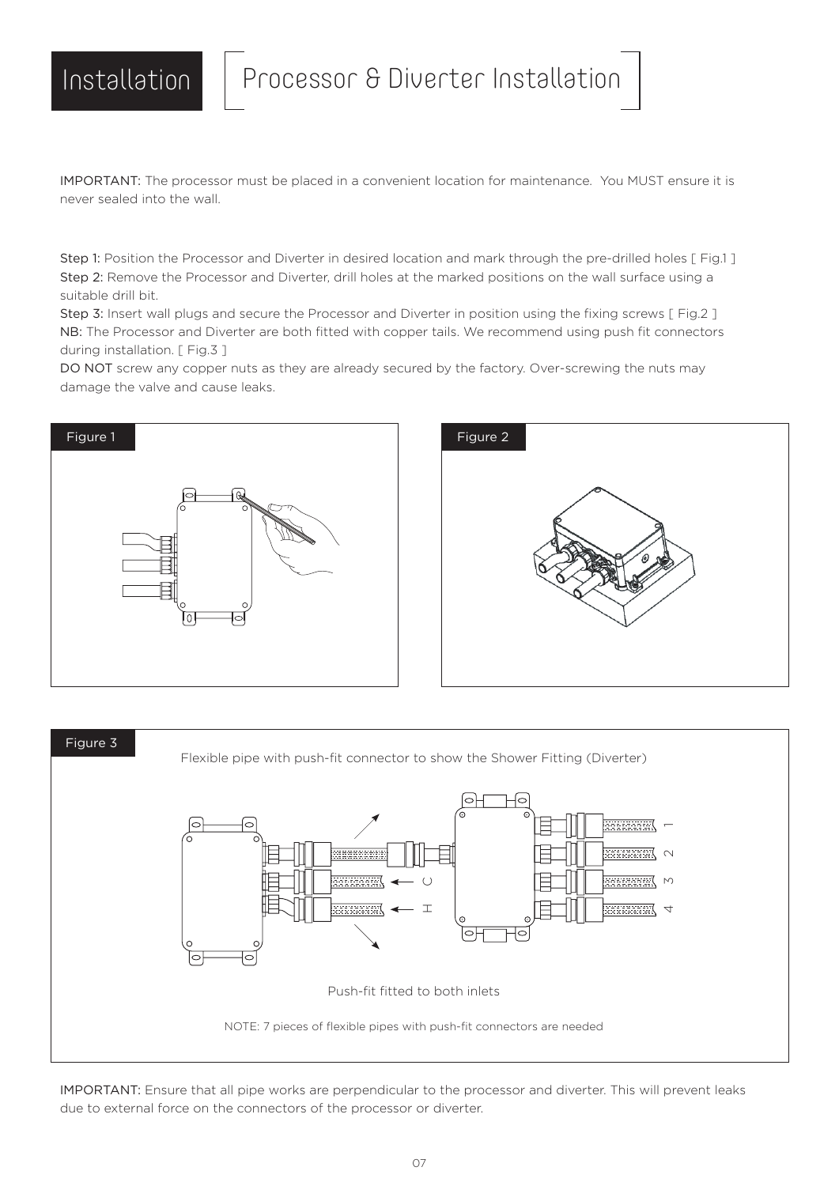Installation | Processor & Diverter Installation

IMPORTANT: The processor must be placed in a convenient location for maintenance. You MUST ensure it is never sealed into the wall.

Step 1: Position the Processor and Diverter in desired location and mark through the pre-drilled holes [Fig.1] Step 2: Remove the Processor and Diverter, drill holes at the marked positions on the wall surface using a suitable drill bit.

Step 3: Insert wall plugs and secure the Processor and Diverter in position using the fixing screws [ Fig.2 ] NB: The Processor and Diverter are both fitted with copper tails. We recommend using push fit connectors during installation. [ Fig.3 ]

DO NOT screw any copper nuts as they are already secured by the factory. Over-screwing the nuts may damage the valve and cause leaks.







IMPORTANT: Ensure that all pipe works are perpendicular to the processor and diverter. This will prevent leaks due to external force on the connectors of the processor or diverter.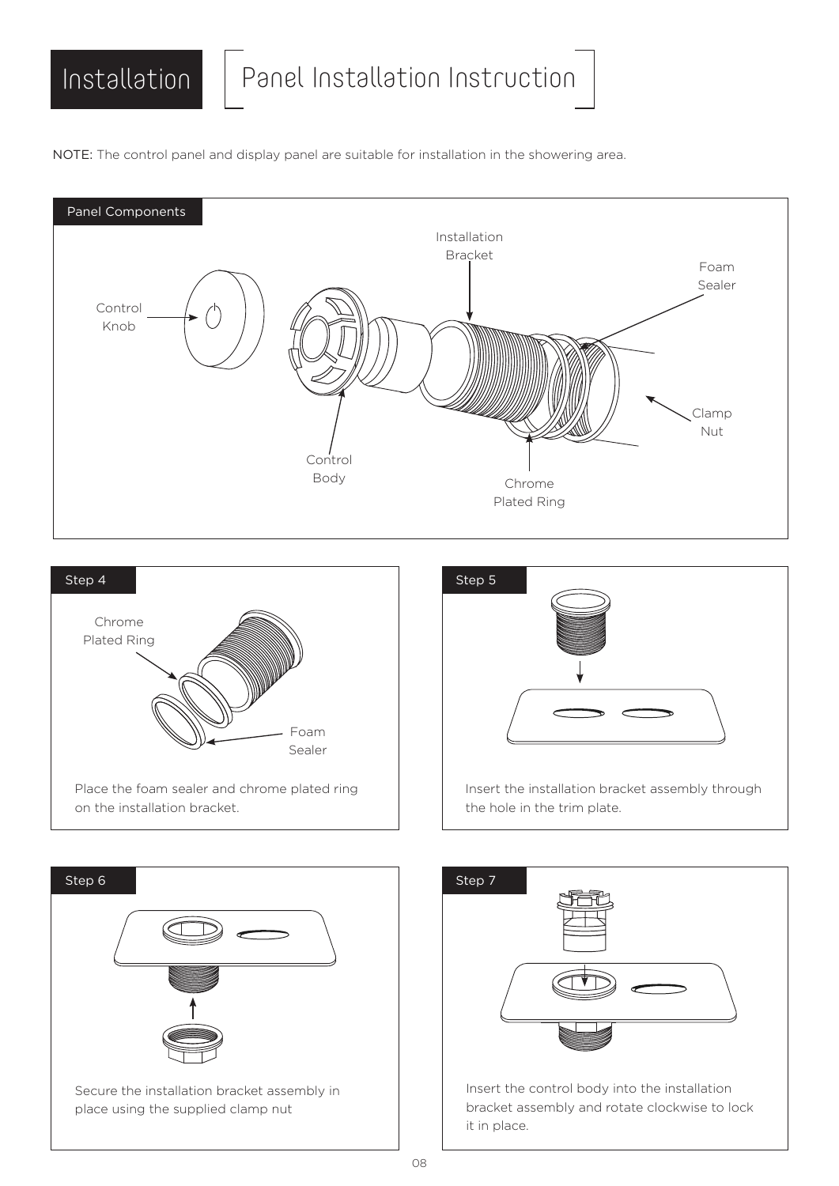NOTE: The control panel and display panel are suitable for installation in the showering area.











Insert the control body into the installation bracket assembly and rotate clockwise to lock it in place.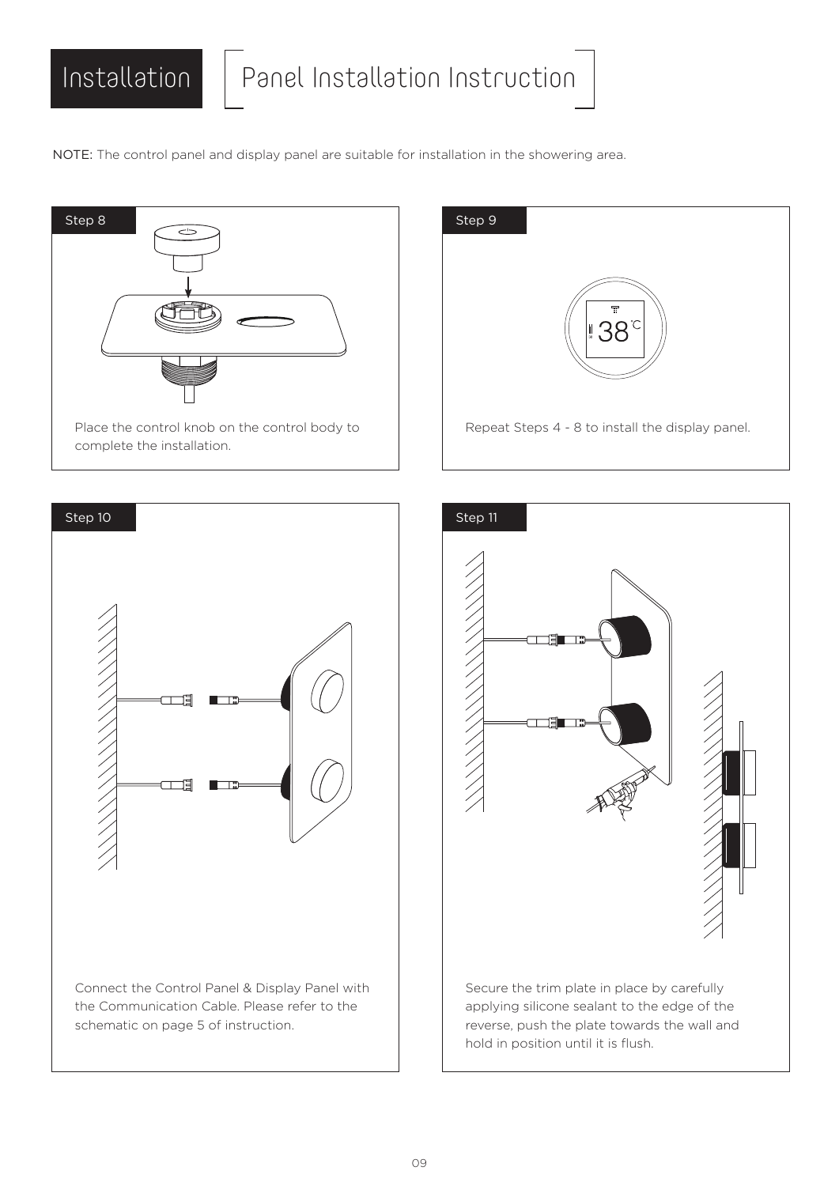NOTE: The control panel and display panel are suitable for installation in the showering area.







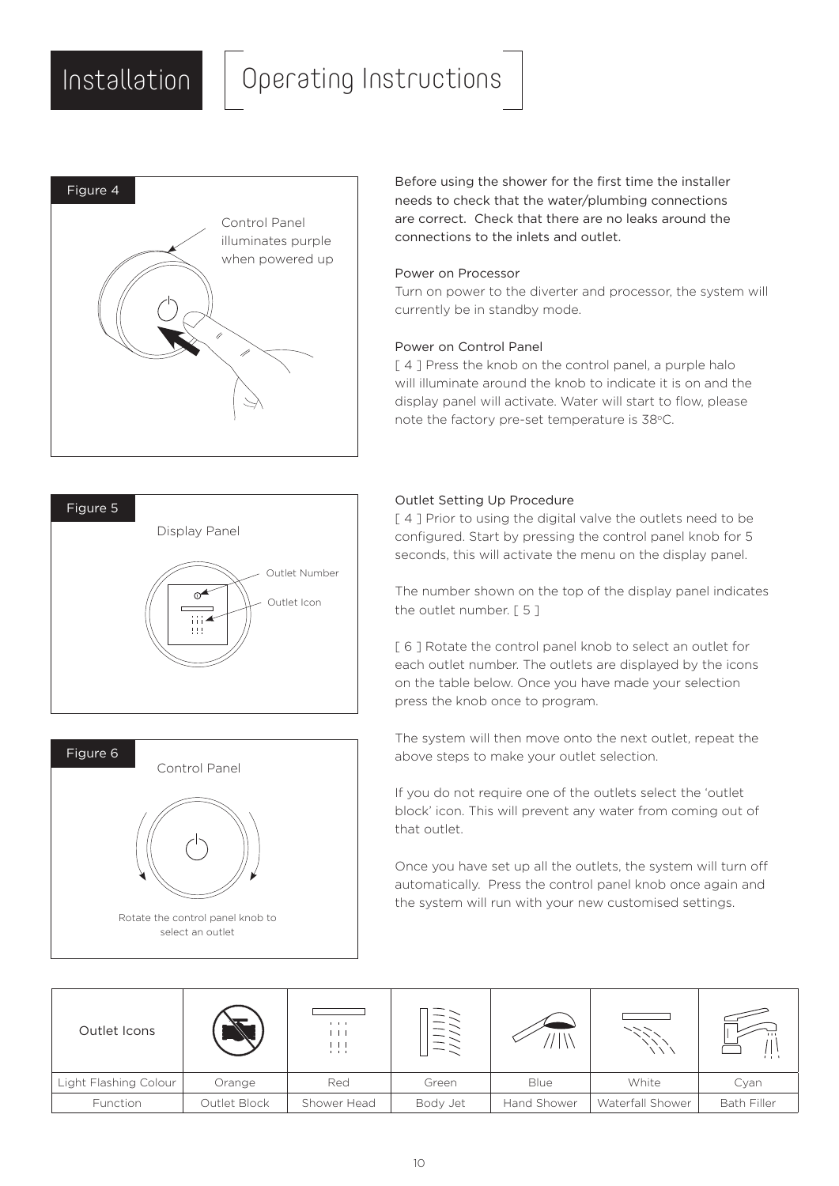### Installation | Operating Instructions







Before using the shower for the first time the installer needs to check that the water/plumbing connections are correct. Check that there are no leaks around the connections to the inlets and outlet.

#### Power on Processor

Turn on power to the diverter and processor, the system will currently be in standby mode.

#### Power on Control Panel

[4] Press the knob on the control panel, a purple halo will illuminate around the knob to indicate it is on and the display panel will activate. Water will start to flow, please note the factory pre-set temperature is 38°C.

#### Outlet Setting Up Procedure

[4] Prior to using the digital valve the outlets need to be configured. Start by pressing the control panel knob for 5 seconds, this will activate the menu on the display panel.

The number shown on the top of the display panel indicates the outlet number. [ 5 ]

[6] Rotate the control panel knob to select an outlet for each outlet number. The outlets are displayed by the icons on the table below. Once you have made your selection press the knob once to program.

The system will then move onto the next outlet, repeat the above steps to make your outlet selection.

If you do not require one of the outlets select the 'outlet block' icon. This will prevent any water from coming out of that outlet.

Once you have set up all the outlets, the system will turn off automatically. Press the control panel knob once again and the system will run with your new customised settings.

| Outlet Icons          |              | $\mathbf{E}=\mathbf{E}+\mathbf{E}$<br>$\mathbf{L}$<br>上上 | $\overline{\phantom{0}}$<br>$\overline{\phantom{a}}$<br>$\overline{\phantom{a}}$ |             |                  | 111                |
|-----------------------|--------------|----------------------------------------------------------|----------------------------------------------------------------------------------|-------------|------------------|--------------------|
| Light Flashing Colour | Orange       | Red                                                      | Green                                                                            | Blue        | White            | Cyan               |
| Function              | Outlet Block | Shower Head                                              | Body Jet                                                                         | Hand Shower | Waterfall Shower | <b>Bath Filler</b> |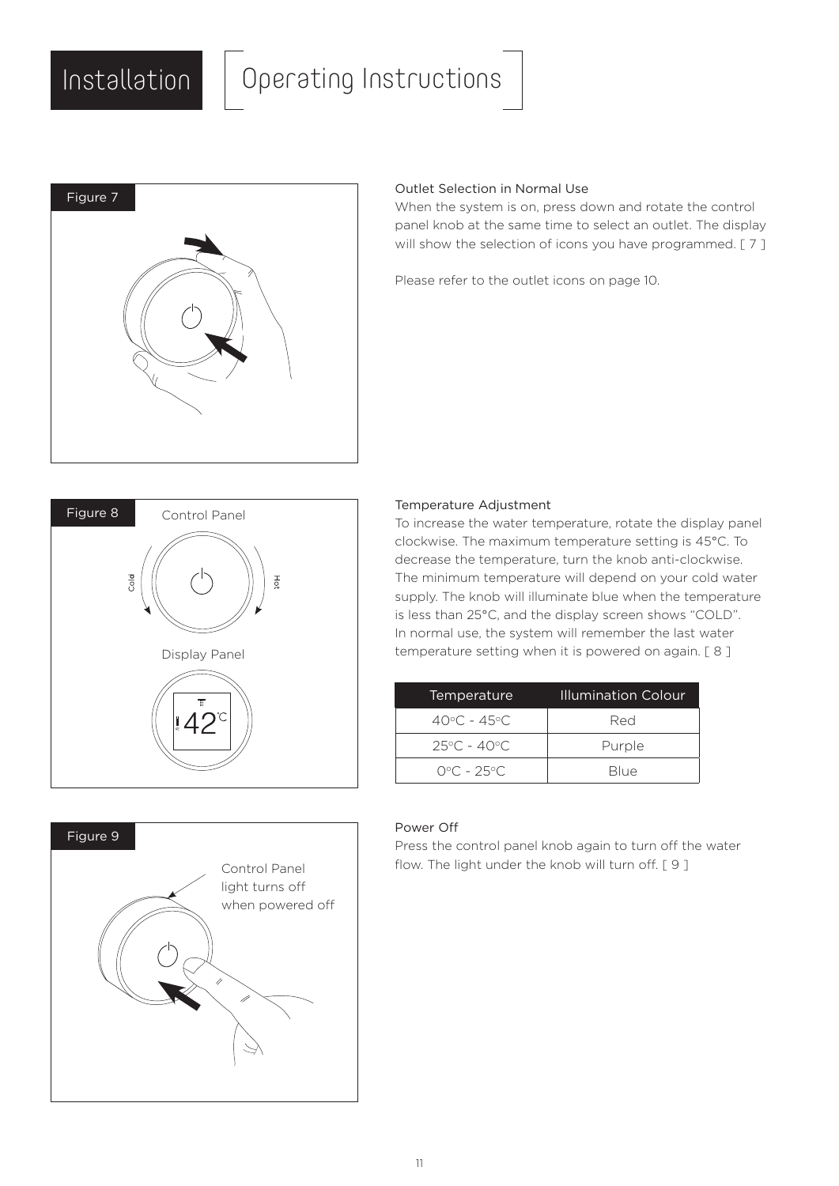## Installation Operating Instructions



### Outlet Selection in Normal Use

When the system is on, press down and rotate the control panel knob at the same time to select an outlet. The display will show the selection of icons you have programmed. [7]

Please refer to the outlet icons on page 10.



# Figure 9 Control Panel light turns off when powered off

#### Temperature Adjustment

To increase the water temperature, rotate the display panel clockwise. The maximum temperature setting is 45°C. To decrease the temperature, turn the knob anti-clockwise. The minimum temperature will depend on your cold water supply. The knob will illuminate blue when the temperature is less than 25°C, and the display screen shows "COLD". In normal use, the system will remember the last water temperature setting when it is powered on again. [ 8 ]

| Temperature                      | Illumination Colour |
|----------------------------------|---------------------|
| $40^{\circ}$ C - $45^{\circ}$ C. | Red                 |
| $25^{\circ}$ C - 40 $^{\circ}$ C | Purple              |
| $0^{\circ}$ C – 25 $^{\circ}$ C  | Blue                |

#### Power Off

Press the control panel knob again to turn off the water flow. The light under the knob will turn off. [ 9 ]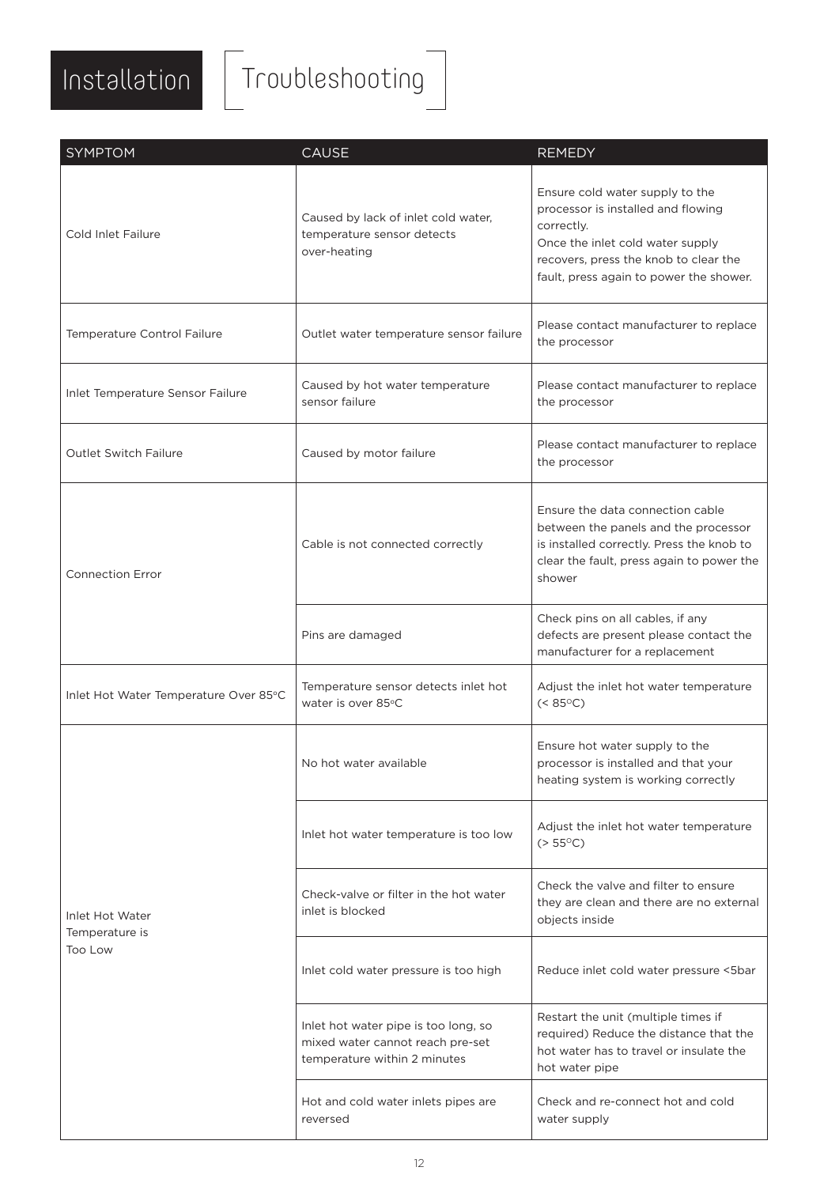

# Installation Troubleshooting

| <b>SYMPTOM</b>                               | <b>CAUSE</b>                                                                                             | <b>REMEDY</b>                                                                                                                                                                                               |
|----------------------------------------------|----------------------------------------------------------------------------------------------------------|-------------------------------------------------------------------------------------------------------------------------------------------------------------------------------------------------------------|
| Cold Inlet Failure                           | Caused by lack of inlet cold water,<br>temperature sensor detects<br>over-heating                        | Ensure cold water supply to the<br>processor is installed and flowing<br>correctly.<br>Once the inlet cold water supply<br>recovers, press the knob to clear the<br>fault, press again to power the shower. |
| Temperature Control Failure                  | Outlet water temperature sensor failure                                                                  | Please contact manufacturer to replace<br>the processor                                                                                                                                                     |
| Inlet Temperature Sensor Failure             | Caused by hot water temperature<br>sensor failure                                                        | Please contact manufacturer to replace<br>the processor                                                                                                                                                     |
| <b>Outlet Switch Failure</b>                 | Caused by motor failure                                                                                  | Please contact manufacturer to replace<br>the processor                                                                                                                                                     |
| <b>Connection Error</b>                      | Cable is not connected correctly                                                                         | Ensure the data connection cable<br>between the panels and the processor<br>is installed correctly. Press the knob to<br>clear the fault, press again to power the<br>shower                                |
|                                              | Pins are damaged                                                                                         | Check pins on all cables, if any<br>defects are present please contact the<br>manufacturer for a replacement                                                                                                |
| Inlet Hot Water Temperature Over 85°C        | Temperature sensor detects inlet hot<br>water is over 85°C                                               | Adjust the inlet hot water temperature<br>$(< 85^{\circ}C)$                                                                                                                                                 |
|                                              | No hot water available                                                                                   | Ensure hot water supply to the<br>processor is installed and that your<br>heating system is working correctly                                                                                               |
| Inlet Hot Water<br>Temperature is<br>Too Low | Inlet hot water temperature is too low                                                                   | Adjust the inlet hot water temperature<br>$(> 55^{\circ}C)$                                                                                                                                                 |
|                                              | Check-valve or filter in the hot water<br>inlet is blocked                                               | Check the valve and filter to ensure<br>they are clean and there are no external<br>objects inside                                                                                                          |
|                                              | Inlet cold water pressure is too high                                                                    | Reduce inlet cold water pressure <5bar                                                                                                                                                                      |
|                                              | Inlet hot water pipe is too long, so<br>mixed water cannot reach pre-set<br>temperature within 2 minutes | Restart the unit (multiple times if<br>required) Reduce the distance that the<br>hot water has to travel or insulate the<br>hot water pipe                                                                  |
|                                              | Hot and cold water inlets pipes are<br>reversed                                                          | Check and re-connect hot and cold<br>water supply                                                                                                                                                           |